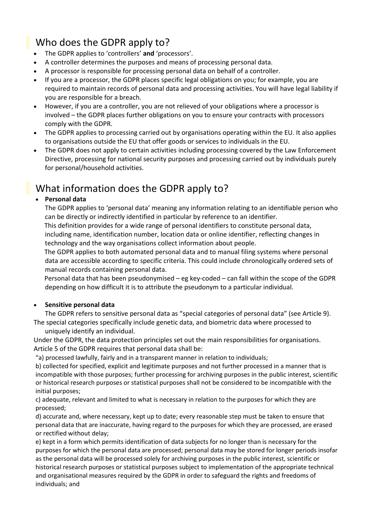## Who does the GDPR apply to?

- The GDPR applies to 'controllers' **and** 'processors'.
- A controller determines the purposes and means of processing personal data.
- A processor is responsible for processing personal data on behalf of a controller.
- If you are a processor, the GDPR places specific legal obligations on you; for example, you are required to maintain records of personal data and processing activities. You will have legal liability if you are responsible for a breach.
- However, if you are a controller, you are not relieved of your obligations where a processor is involved – the GDPR places further obligations on you to ensure your contracts with processors comply with the GDPR.
- The GDPR applies to processing carried out by organisations operating within the EU. It also applies to organisations outside the EU that offer goods or services to individuals in the EU.
- The GDPR does not apply to certain activities including processing covered by the Law Enforcement Directive, processing for national security purposes and processing carried out by individuals purely for personal/household activities.

## What information does the GDPR apply to?

#### **Personal data**

The GDPR applies to 'personal data' meaning any information relating to an identifiable person who can be directly or indirectly identified in particular by reference to an identifier.

This definition provides for a wide range of personal identifiers to constitute personal data, including name, identification number, location data or online identifier, reflecting changes in technology and the way organisations collect information about people.

The GDPR applies to both automated personal data and to manual filing systems where personal data are accessible according to specific criteria. This could include chronologically ordered sets of manual records containing personal data.

Personal data that has been pseudonymised – eg key-coded – can fall within the scope of the GDPR depending on how difficult it is to attribute the pseudonym to a particular individual.

#### **Sensitive personal data**

The GDPR refers to sensitive personal data as "special categories of personal data" (see Article 9). The special categories specifically include genetic data, and biometric data where processed to uniquely identify an individual.

Under the GDPR, the data protection principles set out the main responsibilities for organisations. Article 5 of the GDPR requires that personal data shall be:

"a) processed lawfully, fairly and in a transparent manner in relation to individuals;

b) collected for specified, explicit and legitimate purposes and not further processed in a manner that is incompatible with those purposes; further processing for archiving purposes in the public interest, scientific or historical research purposes or statistical purposes shall not be considered to be incompatible with the initial purposes;

c) adequate, relevant and limited to what is necessary in relation to the purposes for which they are processed;

d) accurate and, where necessary, kept up to date; every reasonable step must be taken to ensure that personal data that are inaccurate, having regard to the purposes for which they are processed, are erased or rectified without delay;

e) kept in a form which permits identification of data subjects for no longer than is necessary for the purposes for which the personal data are processed; personal data may be stored for longer periods insofar as the personal data will be processed solely for archiving purposes in the public interest, scientific or historical research purposes or statistical purposes subject to implementation of the appropriate technical and organisational measures required by the GDPR in order to safeguard the rights and freedoms of individuals; and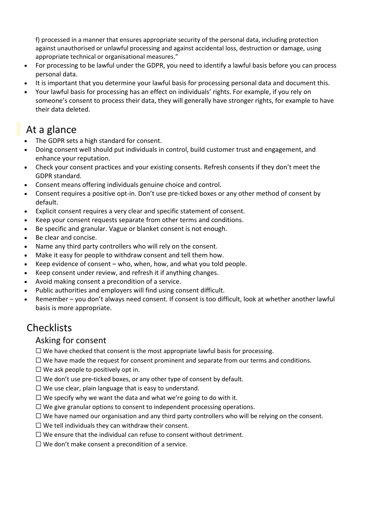f) processed in a manner that ensures appropriate security of the personal data, including protection against unauthorised or unlawful processing and against accidental loss, destruction or damage, using appropriate technical or organisational measures."

- For processing to be lawful under the GDPR, you need to identify a lawful basis before you can process personal data.
- It is important that you determine your lawful basis for processing personal data and document this.
- Your lawful basis for processing has an effect on individuals' rights. For example, if you rely on someone's consent to process their data, they will generally have stronger rights, for example to have their data deleted.

# At a glance

- The GDPR sets a high standard for consent.
- Doing consent well should put individuals in control, build customer trust and engagement, and enhance your reputation.
- Check your consent practices and your existing consents. Refresh consents if they don't meet the GDPR standard.
- Consent means offering individuals genuine choice and control.
- Consent requires a positive opt-in. Don't use pre-ticked boxes or any other method of consent by default.
- Explicit consent requires a very clear and specific statement of consent.
- Keep your consent requests separate from other terms and conditions.
- Be specific and granular. Vague or blanket consent is not enough.
- Be clear and concise.
- Name any third party controllers who will rely on the consent.
- Make it easy for people to withdraw consent and tell them how.
- Exempt vidence of consent who, when, how, and what you told people.
- Keep consent under review, and refresh it if anything changes.
- Avoid making consent a precondition of a service.
- Public authorities and employers will find using consent difficult.
- Remember you don't always need consent. If consent is too difficult, look at whether another lawful basis is more appropriate.

## **Checklists**

#### Asking for consent

- $\square$  We have checked that consent is the most appropriate lawful basis for processing.
- $\Box$  We have made the request for consent prominent and separate from our terms and conditions.
- $\Box$  We ask people to positively opt in.
- $\Box$  We don't use pre-ticked boxes, or any other type of consent by default.
- $\Box$  We use clear, plain language that is easy to understand.
- $\Box$  We specify why we want the data and what we're going to do with it.
- ☐ We give granular options to consent to independent processing operations.
- $\Box$  We have named our organisation and any third party controllers who will be relying on the consent.
- $\Box$  We tell individuals they can withdraw their consent.
- ☐ We ensure that the individual can refuse to consent without detriment.
- $\Box$  We don't make consent a precondition of a service.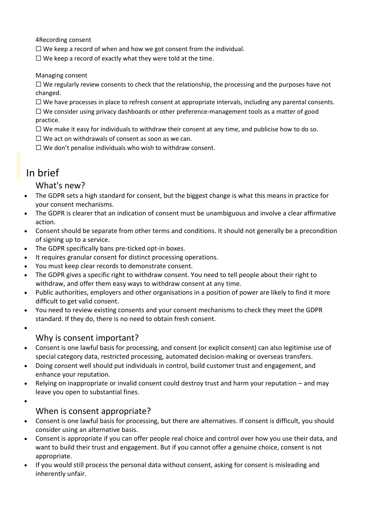4Recording consent

- $\Box$  We keep a record of when and how we got consent from the individual.
- $\Box$  We keep a record of exactly what they were told at the time.

Managing consent

 $\Box$  We regularly review consents to check that the relationship, the processing and the purposes have not changed.

 $\Box$  We have processes in place to refresh consent at appropriate intervals, including any parental consents.

☐ We consider using privacy dashboards or other preference-management tools as a matter of good practice.

 $\Box$  We make it easy for individuals to withdraw their consent at any time, and publicise how to do so.

 $\Box$  We act on withdrawals of consent as soon as we can.

 $\Box$  We don't penalise individuals who wish to withdraw consent.

# In brief

#### What's new?

- The GDPR sets a high standard for consent, but the biggest change is what this means in practice for your consent mechanisms.
- The GDPR is clearer that an indication of consent must be unambiguous and involve a clear affirmative action.
- Consent should be separate from other terms and conditions. It should not generally be a precondition of signing up to a service.
- The GDPR specifically bans pre-ticked opt-in boxes.
- It requires granular consent for distinct processing operations.
- You must keep clear records to demonstrate consent.
- The GDPR gives a specific right to withdraw consent. You need to tell people about their right to withdraw, and offer them easy ways to withdraw consent at any time.
- Public authorities, employers and other organisations in a position of power are likely to find it more difficult to get valid consent.
- You need to review existing consents and your consent mechanisms to check they meet the GDPR standard. If they do, there is no need to obtain fresh consent.
- $\bullet$

### Why is consent important?

- Consent is one lawful basis for processing, and consent (or explicit consent) can also legitimise use of special category data, restricted processing, automated decision-making or overseas transfers.
- Doing consent well should put individuals in control, build customer trust and engagement, and enhance your reputation.
- Relying on inappropriate or invalid consent could destroy trust and harm your reputation and may leave you open to substantial fines.
- $\bullet$

### When is consent appropriate?

- Consent is one lawful basis for processing, but there are alternatives. If consent is difficult, you should consider using an alternative basis.
- Consent is appropriate if you can offer people real choice and control over how you use their data, and want to build their trust and engagement. But if you cannot offer a genuine choice, consent is not appropriate.
- If you would still process the personal data without consent, asking for consent is misleading and inherently unfair.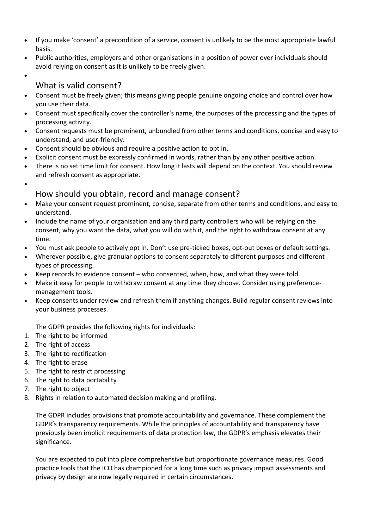- If you make 'consent' a precondition of a service, consent is unlikely to be the most appropriate lawful basis.
- Public authorities, employers and other organisations in a position of power over individuals should avoid relying on consent as it is unlikely to be freely given.
- $\bullet$

## What is valid consent?

- Consent must be freely given; this means giving people genuine ongoing choice and control over how you use their data.
- Consent must specifically cover the controller's name, the purposes of the processing and the types of processing activity.
- Consent requests must be prominent, unbundled from other terms and conditions, concise and easy to understand, and user-friendly.
- Consent should be obvious and require a positive action to opt in.
- Explicit consent must be expressly confirmed in words, rather than by any other positive action.
- There is no set time limit for consent. How long it lasts will depend on the context. You should review and refresh consent as appropriate.
- $\bullet$

### How should you obtain, record and manage consent?

- Make your consent request prominent, concise, separate from other terms and conditions, and easy to understand.
- Include the name of your organisation and any third party controllers who will be relying on the consent, why you want the data, what you will do with it, and the right to withdraw consent at any time.
- You must ask people to actively opt in. Don't use pre-ticked boxes, opt-out boxes or default settings.
- Wherever possible, give granular options to consent separately to different purposes and different types of processing.
- Keep records to evidence consent who consented, when, how, and what they were told.
- Make it easy for people to withdraw consent at any time they choose. Consider using preferencemanagement tools.
- Keep consents under review and refresh them if anything changes. Build regular consent reviews into your business processes.

The GDPR provides the following rights for individuals:

- 1. The right to be informed
- 2. The right of access
- 3. The right to rectification
- 4. The right to erase
- 5. The right to restrict processing
- 6. The right to data portability
- 7. The right to object
- 8. Rights in relation to automated decision making and profiling.

The GDPR includes provisions that promote accountability and governance. These complement the GDPR's transparency requirements. While the principles of accountability and transparency have previously been implicit requirements of data protection law, the GDPR's emphasis elevates their significance.

You are expected to put into place comprehensive but proportionate governance measures. Good practice tools that the ICO has championed for a long time such as privacy impact assessments and privacy by design are now legally required in certain circumstances.